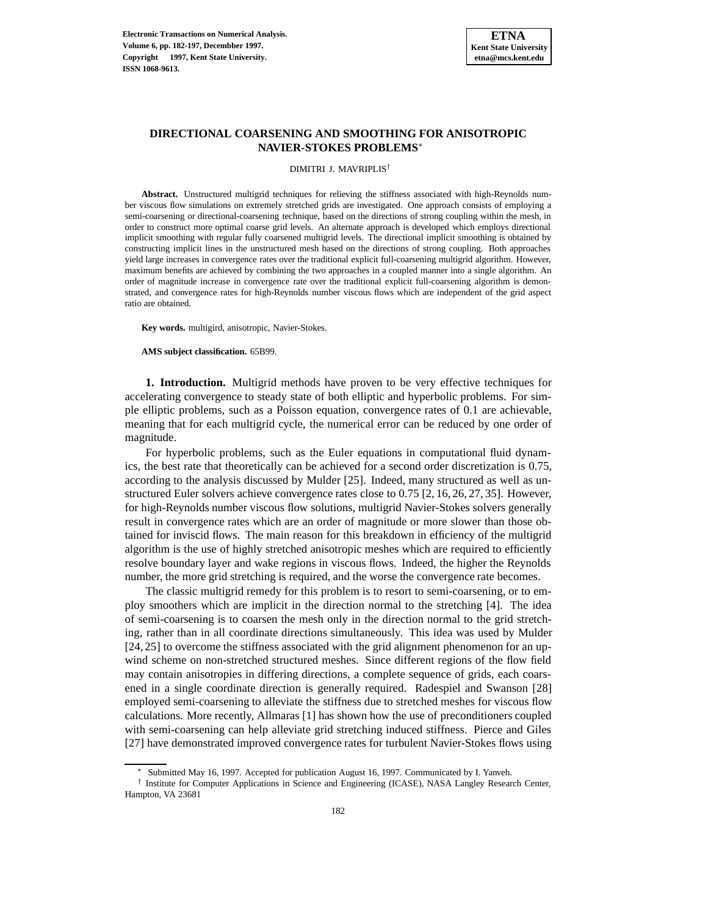## **DIRECTIONAL COARSENING AND SMOOTHING FOR ANISOTROPIC NAVIER-STOKES PROBLEMS**<sup>∗</sup>

#### DIMITRI J. MAVRIPLIS†

**Abstract.** Unstructured multigrid techniques for relieving the stiffness associated with high-Reynolds number viscous flow simulations on extremely stretched grids are investigated. One approach consists of employing a semi-coarsening or directional-coarsening technique, based on the directions of strong coupling within the mesh, in order to construct more optimal coarse grid levels. An alternate approach is developed which employs directional implicit smoothing with regular fully coarsened multigrid levels. The directional implicit smoothing is obtained by constructing implicit lines in the unstructured mesh based on the directions of strong coupling. Both approaches yield large increases in convergence rates over the traditional explicit full-coarsening multigrid algorithm. However, maximum benefits are achieved by combining the two approaches in a coupled manner into a single algorithm. An order of magnitude increase in convergence rate over the traditional explicit full-coarsening algorithm is demonstrated, and convergence rates for high-Reynolds number viscous flows which are independent of the grid aspect ratio are obtained.

**Key words.** multigird, anisotropic, Navier-Stokes.

**AMS subject classification.** 65B99.

**1. Introduction.** Multigrid methods have proven to be very effective techniques for accelerating convergence to steady state of both elliptic and hyperbolic problems. For simple elliptic problems, such as a Poisson equation, convergence rates of 0.1 are achievable, meaning that for each multigrid cycle, the numerical error can be reduced by one order of magnitude.

For hyperbolic problems, such as the Euler equations in computational fluid dynamics, the best rate that theoretically can be achieved for a second order discretization is 0.75, according to the analysis discussed by Mulder [25]. Indeed, many structured as well as unstructured Euler solvers achieve convergence rates close to 0.75 [2, 16, 26, 27, 35]. However, for high-Reynolds number viscous flow solutions, multigrid Navier-Stokes solvers generally result in convergence rates which are an order of magnitude or more slower than those obtained for inviscid flows. The main reason for this breakdown in efficiency of the multigrid algorithm is the use of highly stretched anisotropic meshes which are required to efficiently resolve boundary layer and wake regions in viscous flows. Indeed, the higher the Reynolds number, the more grid stretching is required, and the worse the convergence rate becomes.

The classic multigrid remedy for this problem is to resort to semi-coarsening, or to employ smoothers which are implicit in the direction normal to the stretching [4]. The idea of semi-coarsening is to coarsen the mesh only in the direction normal to the grid stretching, rather than in all coordinate directions simultaneously. This idea was used by Mulder [24, 25] to overcome the stiffness associated with the grid alignment phenomenon for an upwind scheme on non-stretched structured meshes. Since different regions of the flow field may contain anisotropies in differing directions, a complete sequence of grids, each coarsened in a single coordinate direction is generally required. Radespiel and Swanson [28] employed semi-coarsening to alleviate the stiffness due to stretched meshes for viscous flow calculations. More recently, Allmaras [1] has shown how the use of preconditioners coupled with semi-coarsening can help alleviate grid stretching induced stiffness. Pierce and Giles [27] have demonstrated improved convergence rates for turbulent Navier-Stokes flows using

<sup>∗</sup> Submitted May 16, 1997. Accepted for publication August 16, 1997. Communicated by I. Yanveh.

<sup>†</sup> Institute for Computer Applications in Science and Engineering (ICASE), NASA Langley Research Center, Hampton, VA 23681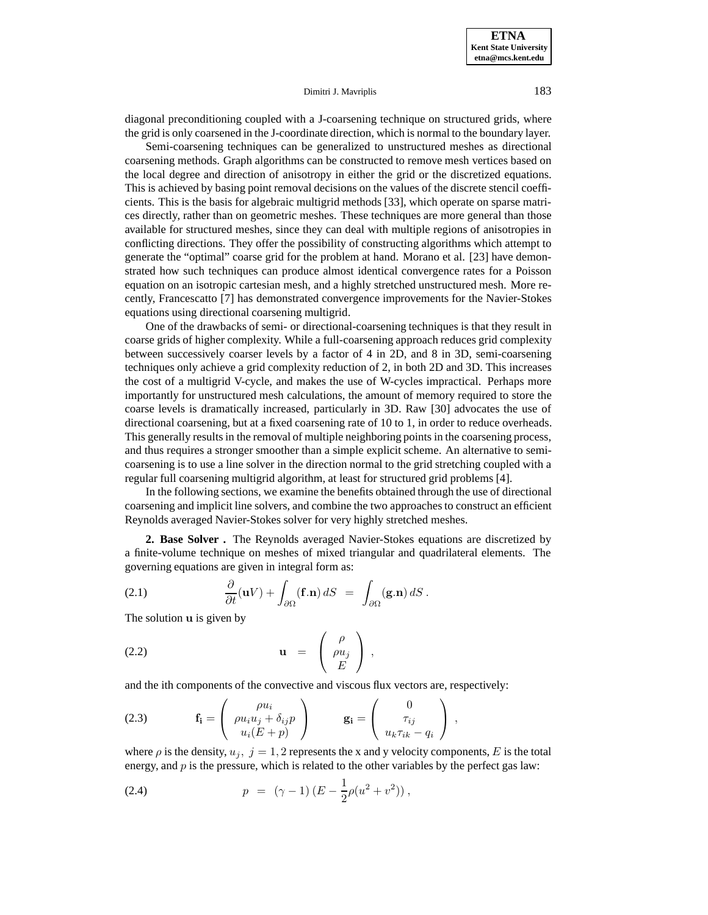diagonal preconditioning coupled with a J-coarsening technique on structured grids, where the grid is only coarsened in the J-coordinate direction, which is normal to the boundary layer.

Semi-coarsening techniques can be generalized to unstructured meshes as directional coarsening methods. Graph algorithms can be constructed to remove mesh vertices based on the local degree and direction of anisotropy in either the grid or the discretized equations. This is achieved by basing point removal decisions on the values of the discrete stencil coefficients. This is the basis for algebraic multigrid methods [33], which operate on sparse matrices directly, rather than on geometric meshes. These techniques are more general than those available for structured meshes, since they can deal with multiple regions of anisotropies in conflicting directions. They offer the possibility of constructing algorithms which attempt to generate the "optimal" coarse grid for the problem at hand. Morano et al. [23] have demonstrated how such techniques can produce almost identical convergence rates for a Poisson equation on an isotropic cartesian mesh, and a highly stretched unstructured mesh. More recently, Francescatto [7] has demonstrated convergence improvements for the Navier-Stokes equations using directional coarsening multigrid.

One of the drawbacks of semi- or directional-coarsening techniques is that they result in coarse grids of higher complexity. While a full-coarsening approach reduces grid complexity between successively coarser levels by a factor of 4 in 2D, and 8 in 3D, semi-coarsening techniques only achieve a grid complexity reduction of 2, in both 2D and 3D. This increases the cost of a multigrid V-cycle, and makes the use of W-cycles impractical. Perhaps more importantly for unstructured mesh calculations, the amount of memory required to store the coarse levels is dramatically increased, particularly in 3D. Raw [30] advocates the use of directional coarsening, but at a fixed coarsening rate of 10 to 1, in order to reduce overheads. This generally results in the removal of multiple neighboring points in the coarsening process, and thus requires a stronger smoother than a simple explicit scheme. An alternative to semicoarsening is to use a line solver in the direction normal to the grid stretching coupled with a regular full coarsening multigrid algorithm, at least for structured grid problems [4].

In the following sections, we examine the benefits obtained through the use of directional coarsening and implicit line solvers, and combine the two approaches to construct an efficient Reynolds averaged Navier-Stokes solver for very highly stretched meshes.

**2. Base Solver .** The Reynolds averaged Navier-Stokes equations are discretized by a finite-volume technique on meshes of mixed triangular and quadrilateral elements. The governing equations are given in integral form as:

(2.1) 
$$
\frac{\partial}{\partial t}(\mathbf{u}V) + \int_{\partial\Omega} (\mathbf{f}.\mathbf{n}) dS = \int_{\partial\Omega} (\mathbf{g}.\mathbf{n}) dS.
$$

The solution **u** is given by

**u** = ρ ρu<sup>j</sup> E (2.2) ,

and the ith components of the convective and viscous flux vectors are, respectively:

(2.3) 
$$
\mathbf{f_i} = \begin{pmatrix} \rho u_i \\ \rho u_i u_j + \delta_{ij} p \\ u_i (E + p) \end{pmatrix} \qquad \mathbf{g_i} = \begin{pmatrix} 0 \\ \tau_{ij} \\ u_k \tau_{ik} - q_i \end{pmatrix},
$$

where  $\rho$  is the density,  $u_j$ ,  $j = 1, 2$  represents the x and y velocity components, E is the total energy, and  $p$  is the pressure, which is related to the other variables by the perfect gas law:

(2.4) 
$$
p = (\gamma - 1) (E - \frac{1}{2}\rho(u^2 + v^2)),
$$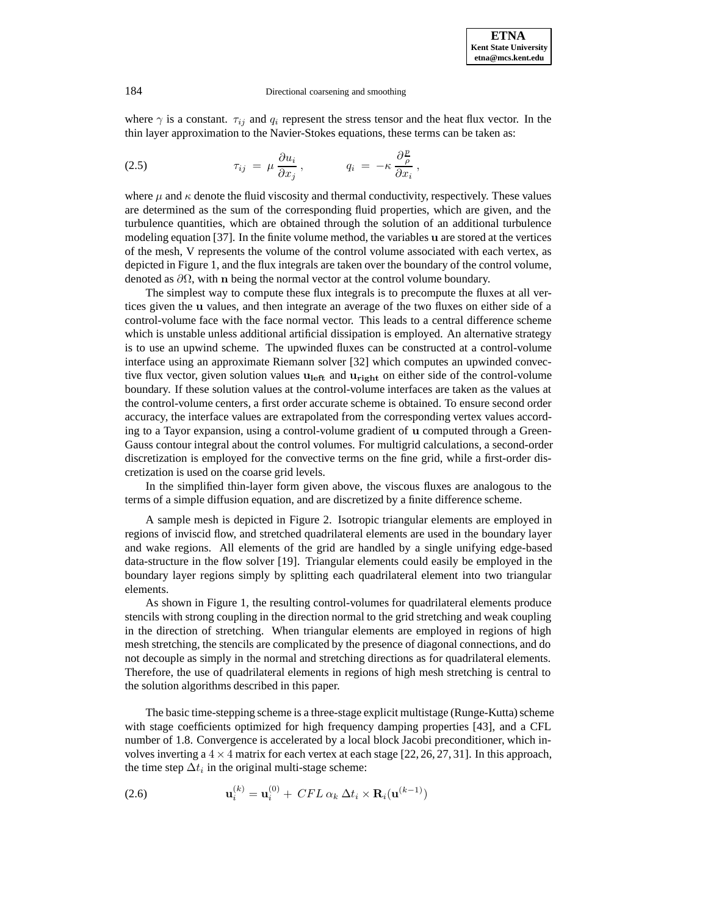where  $\gamma$  is a constant.  $\tau_{ij}$  and  $q_i$  represent the stress tensor and the heat flux vector. In the thin layer approximation to the Navier-Stokes equations, these terms can be taken as:

(2.5) 
$$
\tau_{ij} = \mu \frac{\partial u_i}{\partial x_j}, \qquad q_i = -\kappa \frac{\partial \frac{p}{\rho}}{\partial x_i},
$$

where  $\mu$  and  $\kappa$  denote the fluid viscosity and thermal conductivity, respectively. These values are determined as the sum of the corresponding fluid properties, which are given, and the turbulence quantities, which are obtained through the solution of an additional turbulence modeling equation [37]. In the finite volume method, the variables **u** are stored at the vertices of the mesh, V represents the volume of the control volume associated with each vertex, as depicted in Figure 1, and the flux integrals are taken over the boundary of the control volume, denoted as ∂Ω, with **n** being the normal vector at the control volume boundary.

The simplest way to compute these flux integrals is to precompute the fluxes at all vertices given the **u** values, and then integrate an average of the two fluxes on either side of a control-volume face with the face normal vector. This leads to a central difference scheme which is unstable unless additional artificial dissipation is employed. An alternative strategy is to use an upwind scheme. The upwinded fluxes can be constructed at a control-volume interface using an approximate Riemann solver [32] which computes an upwinded convective flux vector, given solution values  $\mathbf{u}_{\text{left}}$  and  $\mathbf{u}_{\text{right}}$  on either side of the control-volume boundary. If these solution values at the control-volume interfaces are taken as the values at the control-volume centers, a first order accurate scheme is obtained. To ensure second order accuracy, the interface values are extrapolated from the corresponding vertex values according to a Tayor expansion, using a control-volume gradient of **u** computed through a Green-Gauss contour integral about the control volumes. For multigrid calculations, a second-order discretization is employed for the convective terms on the fine grid, while a first-order discretization is used on the coarse grid levels.

In the simplified thin-layer form given above, the viscous fluxes are analogous to the terms of a simple diffusion equation, and are discretized by a finite difference scheme.

A sample mesh is depicted in Figure 2. Isotropic triangular elements are employed in regions of inviscid flow, and stretched quadrilateral elements are used in the boundary layer and wake regions. All elements of the grid are handled by a single unifying edge-based data-structure in the flow solver [19]. Triangular elements could easily be employed in the boundary layer regions simply by splitting each quadrilateral element into two triangular elements.

As shown in Figure 1, the resulting control-volumes for quadrilateral elements produce stencils with strong coupling in the direction normal to the grid stretching and weak coupling in the direction of stretching. When triangular elements are employed in regions of high mesh stretching, the stencils are complicated by the presence of diagonal connections, and do not decouple as simply in the normal and stretching directions as for quadrilateral elements. Therefore, the use of quadrilateral elements in regions of high mesh stretching is central to the solution algorithms described in this paper.

The basic time-stepping scheme is a three-stage explicit multistage (Runge-Kutta) scheme with stage coefficients optimized for high frequency damping properties [43], and a CFL number of 1.8. Convergence is accelerated by a local block Jacobi preconditioner, which involves inverting a  $4 \times 4$  matrix for each vertex at each stage [22, 26, 27, 31]. In this approach, the time step  $\Delta t_i$  in the original multi-stage scheme:

(2.6) 
$$
\mathbf{u}_i^{(k)} = \mathbf{u}_i^{(0)} + \, CFL \, \alpha_k \, \Delta t_i \times \mathbf{R}_i(\mathbf{u}^{(k-1)})
$$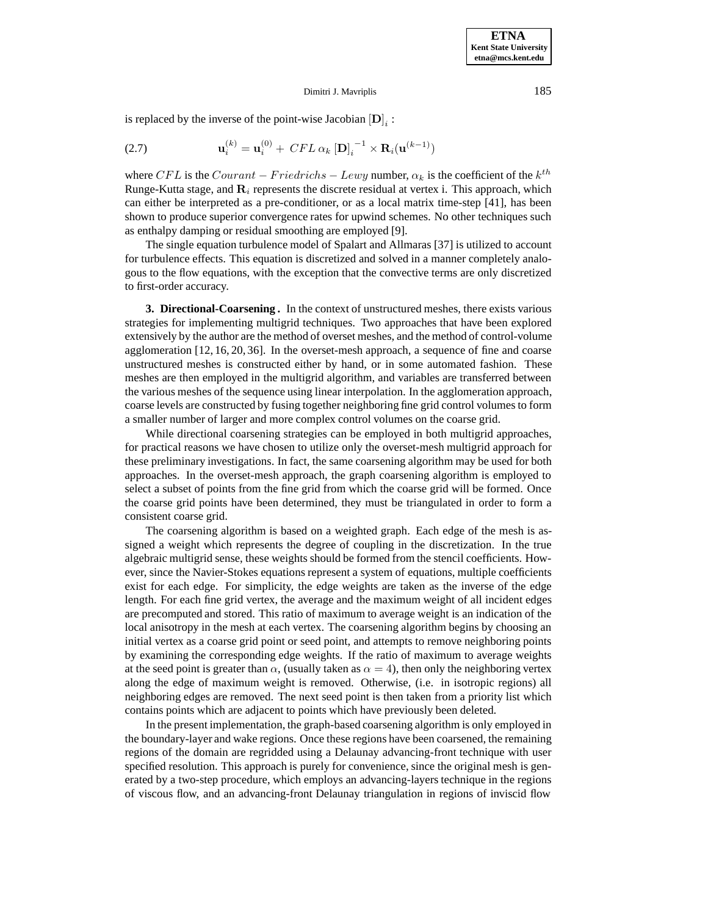is replaced by the inverse of the point-wise Jacobian  $[D]_i$  :

(2.7) 
$$
\mathbf{u}_{i}^{(k)} = \mathbf{u}_{i}^{(0)} + \, CFL \, \alpha_{k} \left[ \mathbf{D} \right]_{i}^{-1} \times \mathbf{R}_{i}(\mathbf{u}^{(k-1)})
$$

where CFL is the Courant – Friedrichs – Lewy number,  $\alpha_k$  is the coefficient of the  $k^{th}$ Runge-Kutta stage, and  $\mathbf{R}_i$  represents the discrete residual at vertex i. This approach, which can either be interpreted as a pre-conditioner, or as a local matrix time-step [41], has been shown to produce superior convergence rates for upwind schemes. No other techniques such as enthalpy damping or residual smoothing are employed [9].

The single equation turbulence model of Spalart and Allmaras [37] is utilized to account for turbulence effects. This equation is discretized and solved in a manner completely analogous to the flow equations, with the exception that the convective terms are only discretized to first-order accuracy.

**3. Directional-Coarsening .** In the context of unstructured meshes, there exists various strategies for implementing multigrid techniques. Two approaches that have been explored extensively by the author are the method of overset meshes, and the method of control-volume agglomeration [12, 16, 20, 36]. In the overset-mesh approach, a sequence of fine and coarse unstructured meshes is constructed either by hand, or in some automated fashion. These meshes are then employed in the multigrid algorithm, and variables are transferred between the various meshes of the sequence using linear interpolation. In the agglomeration approach, coarse levels are constructed by fusing together neighboring fine grid control volumes to form a smaller number of larger and more complex control volumes on the coarse grid.

While directional coarsening strategies can be employed in both multigrid approaches, for practical reasons we have chosen to utilize only the overset-mesh multigrid approach for these preliminary investigations. In fact, the same coarsening algorithm may be used for both approaches. In the overset-mesh approach, the graph coarsening algorithm is employed to select a subset of points from the fine grid from which the coarse grid will be formed. Once the coarse grid points have been determined, they must be triangulated in order to form a consistent coarse grid.

The coarsening algorithm is based on a weighted graph. Each edge of the mesh is assigned a weight which represents the degree of coupling in the discretization. In the true algebraic multigrid sense, these weights should be formed from the stencil coefficients. However, since the Navier-Stokes equations represent a system of equations, multiple coefficients exist for each edge. For simplicity, the edge weights are taken as the inverse of the edge length. For each fine grid vertex, the average and the maximum weight of all incident edges are precomputed and stored. This ratio of maximum to average weight is an indication of the local anisotropy in the mesh at each vertex. The coarsening algorithm begins by choosing an initial vertex as a coarse grid point or seed point, and attempts to remove neighboring points by examining the corresponding edge weights. If the ratio of maximum to average weights at the seed point is greater than  $\alpha$ , (usually taken as  $\alpha = 4$ ), then only the neighboring vertex along the edge of maximum weight is removed. Otherwise, (i.e. in isotropic regions) all neighboring edges are removed. The next seed point is then taken from a priority list which contains points which are adjacent to points which have previously been deleted.

In the present implementation, the graph-based coarsening algorithm is only employed in the boundary-layer and wake regions. Once these regions have been coarsened, the remaining regions of the domain are regridded using a Delaunay advancing-front technique with user specified resolution. This approach is purely for convenience, since the original mesh is generated by a two-step procedure, which employs an advancing-layers technique in the regions of viscous flow, and an advancing-front Delaunay triangulation in regions of inviscid flow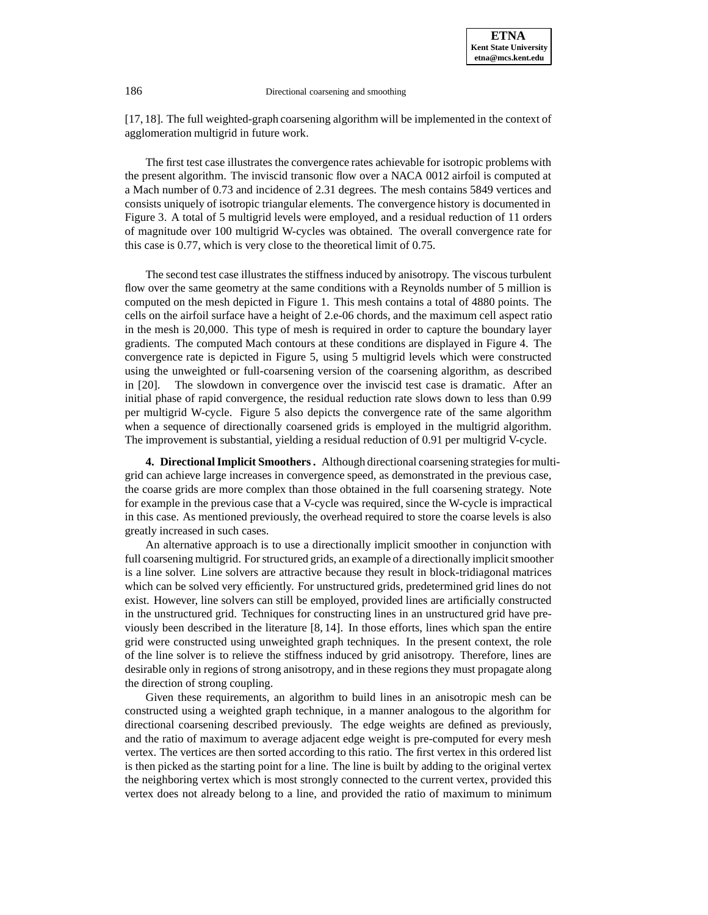[17, 18]. The full weighted-graph coarsening algorithm will be implemented in the context of agglomeration multigrid in future work.

The first test case illustrates the convergence rates achievable for isotropic problems with the present algorithm. The inviscid transonic flow over a NACA 0012 airfoil is computed at a Mach number of 0.73 and incidence of 2.31 degrees. The mesh contains 5849 vertices and consists uniquely of isotropic triangular elements. The convergence history is documented in Figure 3. A total of 5 multigrid levels were employed, and a residual reduction of 11 orders of magnitude over 100 multigrid W-cycles was obtained. The overall convergence rate for this case is 0.77, which is very close to the theoretical limit of 0.75.

The second test case illustrates the stiffness induced by anisotropy. The viscous turbulent flow over the same geometry at the same conditions with a Reynolds number of 5 million is computed on the mesh depicted in Figure 1. This mesh contains a total of 4880 points. The cells on the airfoil surface have a height of 2.e-06 chords, and the maximum cell aspect ratio in the mesh is 20,000. This type of mesh is required in order to capture the boundary layer gradients. The computed Mach contours at these conditions are displayed in Figure 4. The convergence rate is depicted in Figure 5, using 5 multigrid levels which were constructed using the unweighted or full-coarsening version of the coarsening algorithm, as described in [20]. The slowdown in convergence over the inviscid test case is dramatic. After an initial phase of rapid convergence, the residual reduction rate slows down to less than 0.99 per multigrid W-cycle. Figure 5 also depicts the convergence rate of the same algorithm when a sequence of directionally coarsened grids is employed in the multigrid algorithm. The improvement is substantial, yielding a residual reduction of 0.91 per multigrid V-cycle.

**4. Directional Implicit Smoothers .** Although directional coarsening strategies for multigrid can achieve large increases in convergence speed, as demonstrated in the previous case, the coarse grids are more complex than those obtained in the full coarsening strategy. Note for example in the previous case that a V-cycle was required, since the W-cycle is impractical in this case. As mentioned previously, the overhead required to store the coarse levels is also greatly increased in such cases.

An alternative approach is to use a directionally implicit smoother in conjunction with full coarsening multigrid. For structured grids, an example of a directionally implicit smoother is a line solver. Line solvers are attractive because they result in block-tridiagonal matrices which can be solved very efficiently. For unstructured grids, predetermined grid lines do not exist. However, line solvers can still be employed, provided lines are artificially constructed in the unstructured grid. Techniques for constructing lines in an unstructured grid have previously been described in the literature [8, 14]. In those efforts, lines which span the entire grid were constructed using unweighted graph techniques. In the present context, the role of the line solver is to relieve the stiffness induced by grid anisotropy. Therefore, lines are desirable only in regions of strong anisotropy, and in these regions they must propagate along the direction of strong coupling.

Given these requirements, an algorithm to build lines in an anisotropic mesh can be constructed using a weighted graph technique, in a manner analogous to the algorithm for directional coarsening described previously. The edge weights are defined as previously, and the ratio of maximum to average adjacent edge weight is pre-computed for every mesh vertex. The vertices are then sorted according to this ratio. The first vertex in this ordered list is then picked as the starting point for a line. The line is built by adding to the original vertex the neighboring vertex which is most strongly connected to the current vertex, provided this vertex does not already belong to a line, and provided the ratio of maximum to minimum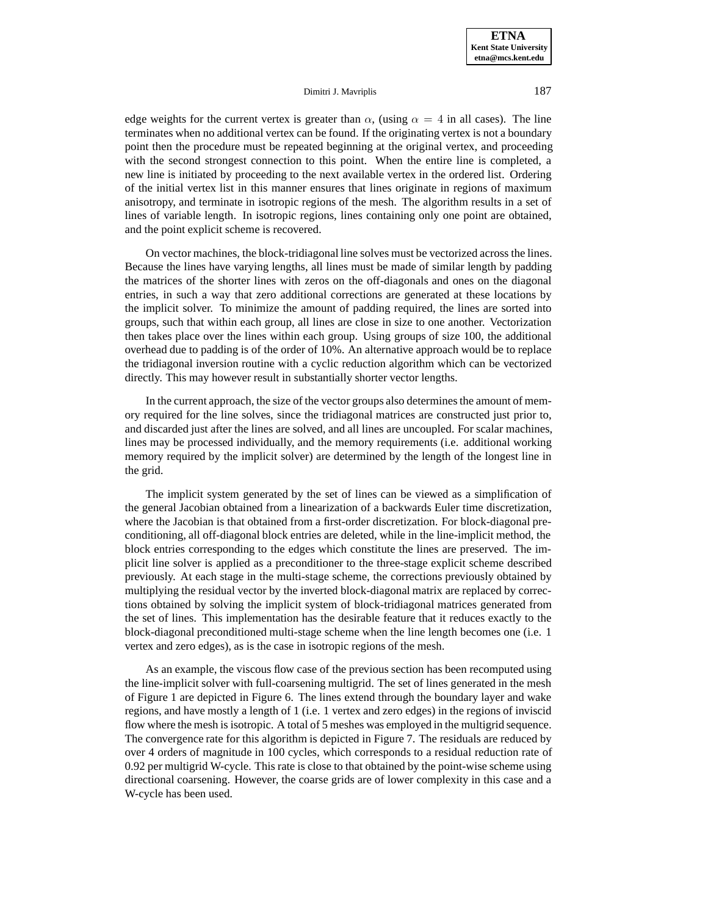edge weights for the current vertex is greater than  $\alpha$ , (using  $\alpha = 4$  in all cases). The line terminates when no additional vertex can be found. If the originating vertex is not a boundary point then the procedure must be repeated beginning at the original vertex, and proceeding with the second strongest connection to this point. When the entire line is completed, a new line is initiated by proceeding to the next available vertex in the ordered list. Ordering of the initial vertex list in this manner ensures that lines originate in regions of maximum anisotropy, and terminate in isotropic regions of the mesh. The algorithm results in a set of lines of variable length. In isotropic regions, lines containing only one point are obtained, and the point explicit scheme is recovered.

On vector machines, the block-tridiagonal line solves must be vectorized across the lines. Because the lines have varying lengths, all lines must be made of similar length by padding the matrices of the shorter lines with zeros on the off-diagonals and ones on the diagonal entries, in such a way that zero additional corrections are generated at these locations by the implicit solver. To minimize the amount of padding required, the lines are sorted into groups, such that within each group, all lines are close in size to one another. Vectorization then takes place over the lines within each group. Using groups of size 100, the additional overhead due to padding is of the order of 10%. An alternative approach would be to replace the tridiagonal inversion routine with a cyclic reduction algorithm which can be vectorized directly. This may however result in substantially shorter vector lengths.

In the current approach, the size of the vector groups also determines the amount of memory required for the line solves, since the tridiagonal matrices are constructed just prior to, and discarded just after the lines are solved, and all lines are uncoupled. For scalar machines, lines may be processed individually, and the memory requirements (i.e. additional working memory required by the implicit solver) are determined by the length of the longest line in the grid.

The implicit system generated by the set of lines can be viewed as a simplification of the general Jacobian obtained from a linearization of a backwards Euler time discretization, where the Jacobian is that obtained from a first-order discretization. For block-diagonal preconditioning, all off-diagonal block entries are deleted, while in the line-implicit method, the block entries corresponding to the edges which constitute the lines are preserved. The implicit line solver is applied as a preconditioner to the three-stage explicit scheme described previously. At each stage in the multi-stage scheme, the corrections previously obtained by multiplying the residual vector by the inverted block-diagonal matrix are replaced by corrections obtained by solving the implicit system of block-tridiagonal matrices generated from the set of lines. This implementation has the desirable feature that it reduces exactly to the block-diagonal preconditioned multi-stage scheme when the line length becomes one (i.e. 1 vertex and zero edges), as is the case in isotropic regions of the mesh.

As an example, the viscous flow case of the previous section has been recomputed using the line-implicit solver with full-coarsening multigrid. The set of lines generated in the mesh of Figure 1 are depicted in Figure 6. The lines extend through the boundary layer and wake regions, and have mostly a length of 1 (i.e. 1 vertex and zero edges) in the regions of inviscid flow where the mesh is isotropic. A total of 5 meshes was employed in the multigrid sequence. The convergence rate for this algorithm is depicted in Figure 7. The residuals are reduced by over 4 orders of magnitude in 100 cycles, which corresponds to a residual reduction rate of 0.92 per multigrid W-cycle. This rate is close to that obtained by the point-wise scheme using directional coarsening. However, the coarse grids are of lower complexity in this case and a W-cycle has been used.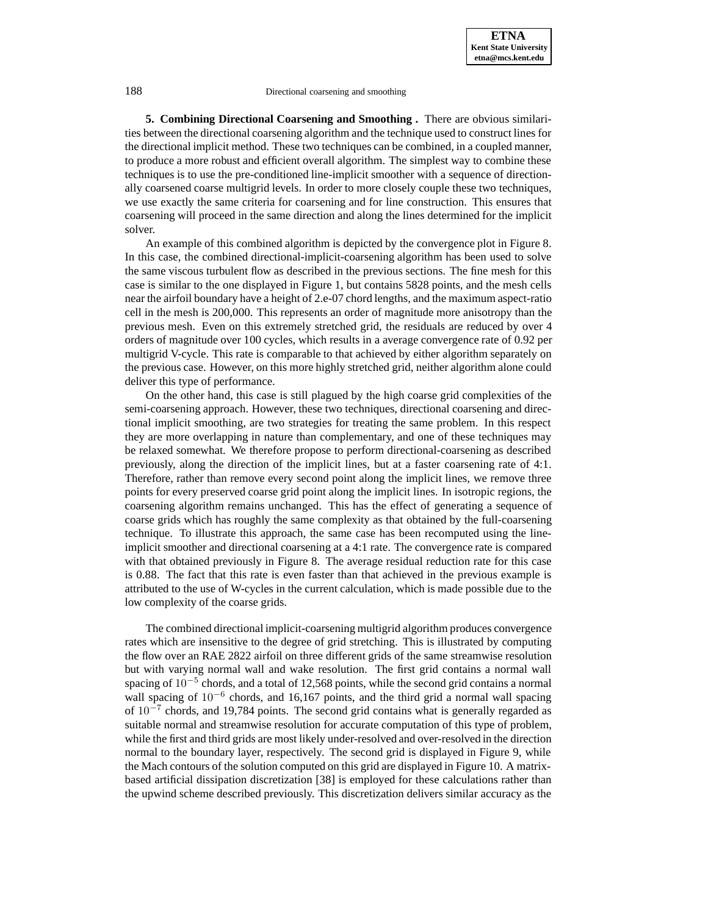**5. Combining Directional Coarsening and Smoothing .** There are obvious similarities between the directional coarsening algorithm and the technique used to construct lines for the directional implicit method. These two techniques can be combined, in a coupled manner, to produce a more robust and efficient overall algorithm. The simplest way to combine these techniques is to use the pre-conditioned line-implicit smoother with a sequence of directionally coarsened coarse multigrid levels. In order to more closely couple these two techniques, we use exactly the same criteria for coarsening and for line construction. This ensures that coarsening will proceed in the same direction and along the lines determined for the implicit solver.

An example of this combined algorithm is depicted by the convergence plot in Figure 8. In this case, the combined directional-implicit-coarsening algorithm has been used to solve the same viscous turbulent flow as described in the previous sections. The fine mesh for this case is similar to the one displayed in Figure 1, but contains 5828 points, and the mesh cells near the airfoil boundary have a height of 2.e-07 chord lengths, and the maximum aspect-ratio cell in the mesh is 200,000. This represents an order of magnitude more anisotropy than the previous mesh. Even on this extremely stretched grid, the residuals are reduced by over 4 orders of magnitude over 100 cycles, which results in a average convergence rate of 0.92 per multigrid V-cycle. This rate is comparable to that achieved by either algorithm separately on the previous case. However, on this more highly stretched grid, neither algorithm alone could deliver this type of performance.

On the other hand, this case is still plagued by the high coarse grid complexities of the semi-coarsening approach. However, these two techniques, directional coarsening and directional implicit smoothing, are two strategies for treating the same problem. In this respect they are more overlapping in nature than complementary, and one of these techniques may be relaxed somewhat. We therefore propose to perform directional-coarsening as described previously, along the direction of the implicit lines, but at a faster coarsening rate of 4:1. Therefore, rather than remove every second point along the implicit lines, we remove three points for every preserved coarse grid point along the implicit lines. In isotropic regions, the coarsening algorithm remains unchanged. This has the effect of generating a sequence of coarse grids which has roughly the same complexity as that obtained by the full-coarsening technique. To illustrate this approach, the same case has been recomputed using the lineimplicit smoother and directional coarsening at a 4:1 rate. The convergence rate is compared with that obtained previously in Figure 8. The average residual reduction rate for this case is 0.88. The fact that this rate is even faster than that achieved in the previous example is attributed to the use of W-cycles in the current calculation, which is made possible due to the low complexity of the coarse grids.

The combined directional implicit-coarsening multigrid algorithm produces convergence rates which are insensitive to the degree of grid stretching. This is illustrated by computing the flow over an RAE 2822 airfoil on three different grids of the same streamwise resolution but with varying normal wall and wake resolution. The first grid contains a normal wall spacing of  $10^{-5}$  chords, and a total of 12,568 points, while the second grid contains a normal wall spacing of  $10^{-6}$  chords, and 16,167 points, and the third grid a normal wall spacing of  $10^{-7}$  chords, and 19,784 points. The second grid contains what is generally regarded as suitable normal and streamwise resolution for accurate computation of this type of problem, while the first and third grids are most likely under-resolved and over-resolved in the direction normal to the boundary layer, respectively. The second grid is displayed in Figure 9, while the Mach contours of the solution computed on this grid are displayed in Figure 10. A matrixbased artificial dissipation discretization [38] is employed for these calculations rather than the upwind scheme described previously. This discretization delivers similar accuracy as the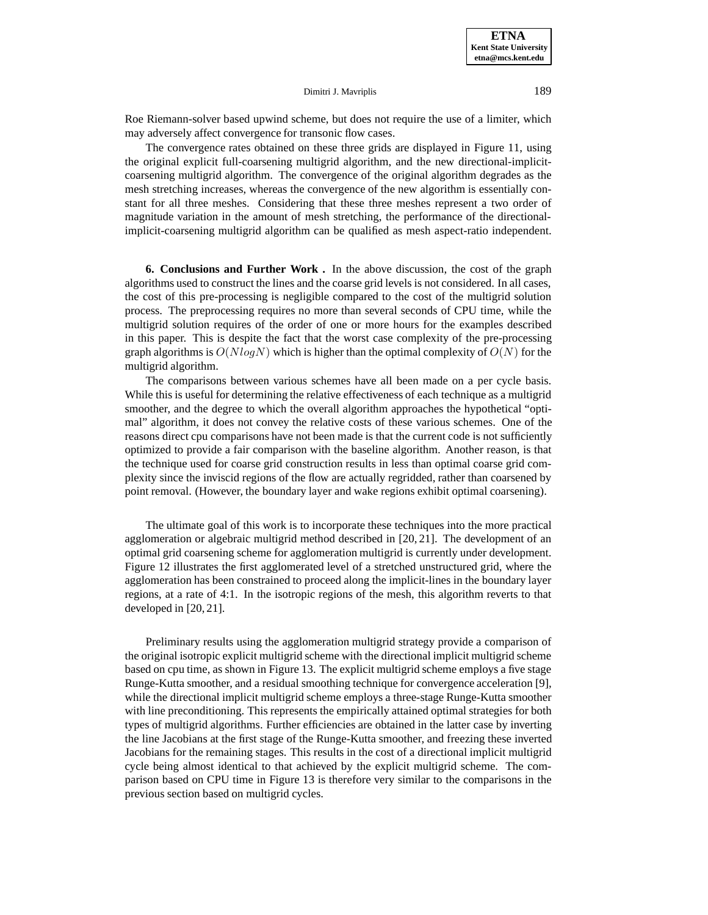Roe Riemann-solver based upwind scheme, but does not require the use of a limiter, which may adversely affect convergence for transonic flow cases.

The convergence rates obtained on these three grids are displayed in Figure 11, using the original explicit full-coarsening multigrid algorithm, and the new directional-implicitcoarsening multigrid algorithm. The convergence of the original algorithm degrades as the mesh stretching increases, whereas the convergence of the new algorithm is essentially constant for all three meshes. Considering that these three meshes represent a two order of magnitude variation in the amount of mesh stretching, the performance of the directionalimplicit-coarsening multigrid algorithm can be qualified as mesh aspect-ratio independent.

**6. Conclusions and Further Work .** In the above discussion, the cost of the graph algorithms used to construct the lines and the coarse grid levels is not considered. In all cases, the cost of this pre-processing is negligible compared to the cost of the multigrid solution process. The preprocessing requires no more than several seconds of CPU time, while the multigrid solution requires of the order of one or more hours for the examples described in this paper. This is despite the fact that the worst case complexity of the pre-processing graph algorithms is  $O(N \log N)$  which is higher than the optimal complexity of  $O(N)$  for the multigrid algorithm.

The comparisons between various schemes have all been made on a per cycle basis. While this is useful for determining the relative effectiveness of each technique as a multigrid smoother, and the degree to which the overall algorithm approaches the hypothetical "optimal" algorithm, it does not convey the relative costs of these various schemes. One of the reasons direct cpu comparisons have not been made is that the current code is not sufficiently optimized to provide a fair comparison with the baseline algorithm. Another reason, is that the technique used for coarse grid construction results in less than optimal coarse grid complexity since the inviscid regions of the flow are actually regridded, rather than coarsened by point removal. (However, the boundary layer and wake regions exhibit optimal coarsening).

The ultimate goal of this work is to incorporate these techniques into the more practical agglomeration or algebraic multigrid method described in [20, 21]. The development of an optimal grid coarsening scheme for agglomeration multigrid is currently under development. Figure 12 illustrates the first agglomerated level of a stretched unstructured grid, where the agglomeration has been constrained to proceed along the implicit-lines in the boundary layer regions, at a rate of 4:1. In the isotropic regions of the mesh, this algorithm reverts to that developed in [20, 21].

Preliminary results using the agglomeration multigrid strategy provide a comparison of the original isotropic explicit multigrid scheme with the directional implicit multigrid scheme based on cpu time, as shown in Figure 13. The explicit multigrid scheme employs a five stage Runge-Kutta smoother, and a residual smoothing technique for convergence acceleration [9], while the directional implicit multigrid scheme employs a three-stage Runge-Kutta smoother with line preconditioning. This represents the empirically attained optimal strategies for both types of multigrid algorithms. Further efficiencies are obtained in the latter case by inverting the line Jacobians at the first stage of the Runge-Kutta smoother, and freezing these inverted Jacobians for the remaining stages. This results in the cost of a directional implicit multigrid cycle being almost identical to that achieved by the explicit multigrid scheme. The comparison based on CPU time in Figure 13 is therefore very similar to the comparisons in the previous section based on multigrid cycles.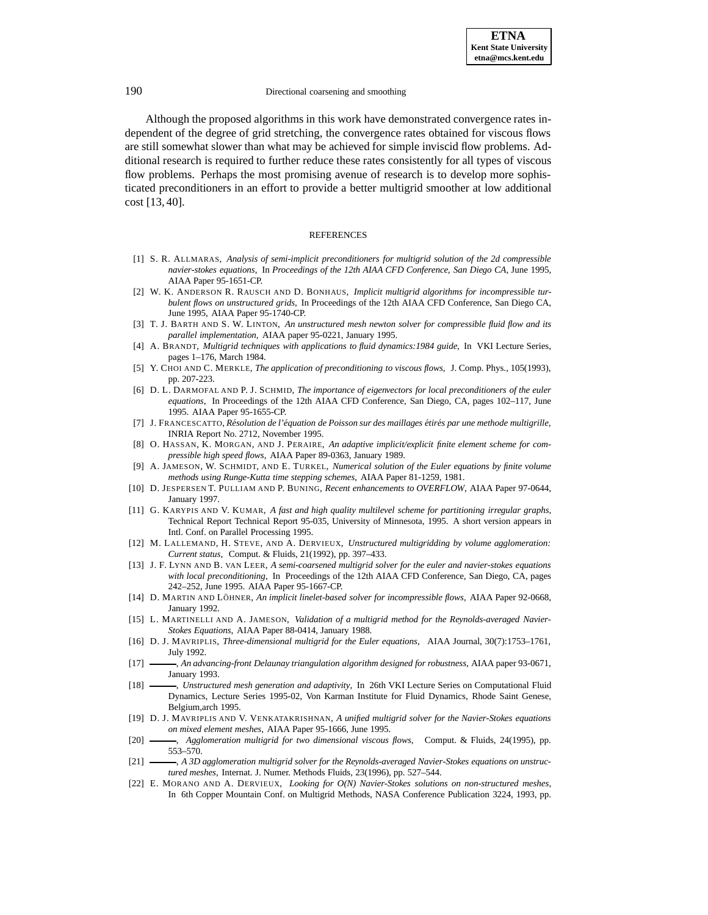Although the proposed algorithms in this work have demonstrated convergence rates independent of the degree of grid stretching, the convergence rates obtained for viscous flows are still somewhat slower than what may be achieved for simple inviscid flow problems. Additional research is required to further reduce these rates consistently for all types of viscous flow problems. Perhaps the most promising avenue of research is to develop more sophisticated preconditioners in an effort to provide a better multigrid smoother at low additional cost [13, 40].

#### REFERENCES

- [1] S. R. ALLMARAS, *Analysis of semi-implicit preconditioners for multigrid solution of the 2d compressible navier-stokes equations*, In *Proceedings of the 12th AIAA CFD Conference, San Diego CA*, June 1995, AIAA Paper 95-1651-CP.
- [2] W. K. ANDERSON R. RAUSCH AND D. BONHAUS, *Implicit multigrid algorithms for incompressible turbulent flows on unstructured grids*, In Proceedings of the 12th AIAA CFD Conference, San Diego CA, June 1995, AIAA Paper 95-1740-CP.
- [3] T. J. BARTH AND S. W. LINTON, *An unstructured mesh newton solver for compressible fluid flow and its parallel implementation*, AIAA paper 95-0221, January 1995.
- [4] A. BRANDT, *Multigrid techniques with applications to fluid dynamics:1984 guide*, In VKI Lecture Series, pages 1–176, March 1984.
- [5] Y. CHOI AND C. MERKLE, *The application of preconditioning to viscous flows*, J. Comp. Phys., 105(1993), pp. 207-223.
- [6] D. L. DARMOFAL AND P. J. SCHMID, *The importance of eigenvectors for local preconditioners of the euler equations*, In Proceedings of the 12th AIAA CFD Conference, San Diego, CA, pages 102–117, June 1995. AIAA Paper 95-1655-CP.
- [7] J. FRANCESCATTO, *R´esolution de l'´equation de Poisson sur des maillages ´etir´es par une methode multigrille*, INRIA Report No. 2712, November 1995.
- [8] O. HASSAN, K. MORGAN, AND J. PERAIRE, *An adaptive implicit/explicit finite element scheme for compressible high speed flows*, AIAA Paper 89-0363, January 1989.
- [9] A. JAMESON, W. SCHMIDT, AND E. TURKEL, *Numerical solution of the Euler equations by finite volume methods using Runge-Kutta time stepping schemes*, AIAA Paper 81-1259, 1981.
- [10] D. JESPERSEN T. PULLIAM AND P. BUNING, *Recent enhancements to OVERFLOW*, AIAA Paper 97-0644, January 1997.
- [11] G. KARYPIS AND V. KUMAR, *A fast and high quality multilevel scheme for partitioning irregular graphs*, Technical Report Technical Report 95-035, University of Minnesota, 1995. A short version appears in Intl. Conf. on Parallel Processing 1995.
- [12] M. LALLEMAND, H. STEVE, AND A. DERVIEUX, *Unstructured multigridding by volume agglomeration: Current status*, Comput. & Fluids, 21(1992), pp. 397–433.
- [13] J. F. LYNN AND B. VAN LEER, *A semi-coarsened multigrid solver for the euler and navier-stokes equations with local preconditioning*, In Proceedings of the 12th AIAA CFD Conference, San Diego, CA, pages 242–252, June 1995. AIAA Paper 95-1667-CP.
- [14] D. MARTIN AND LÖHNER, *An implicit linelet-based solver for incompressible flows*, AIAA Paper 92-0668, January 1992.
- [15] L. MARTINELLI AND A. JAMESON, *Validation of a multigrid method for the Reynolds-averaged Navier-Stokes Equations*, AIAA Paper 88-0414, January 1988.
- [16] D. J. MAVRIPLIS, *Three-dimensional multigrid for the Euler equations*, AIAA Journal, 30(7):1753–1761, July 1992.
- [17] , *An advancing-front Delaunay triangulation algorithm designed for robustness*, AIAA paper 93-0671, January 1993.
- [18]  $\longrightarrow$ , *Unstructured mesh generation and adaptivity*, In 26th VKI Lecture Series on Computational Fluid Dynamics, Lecture Series 1995-02, Von Karman Institute for Fluid Dynamics, Rhode Saint Genese, Belgium,arch 1995.
- [19] D. J. MAVRIPLIS AND V. VENKATAKRISHNAN, *A unified multigrid solver for the Navier-Stokes equations on mixed element meshes*, AIAA Paper 95-1666, June 1995.
- [20] , *Agglomeration multigrid for two dimensional viscous flows*, Comput. & Fluids, 24(1995), pp. 553–570.
- [21]  $\longrightarrow$ , *A 3D agglomeration multigrid solver for the Reynolds-averaged Navier-Stokes equations on unstructured meshes*, Internat. J. Numer. Methods Fluids, 23(1996), pp. 527–544.
- [22] E. MORANO AND A. DERVIEUX, *Looking for O(N) Navier-Stokes solutions on non-structured meshes*, In 6th Copper Mountain Conf. on Multigrid Methods, NASA Conference Publication 3224, 1993, pp.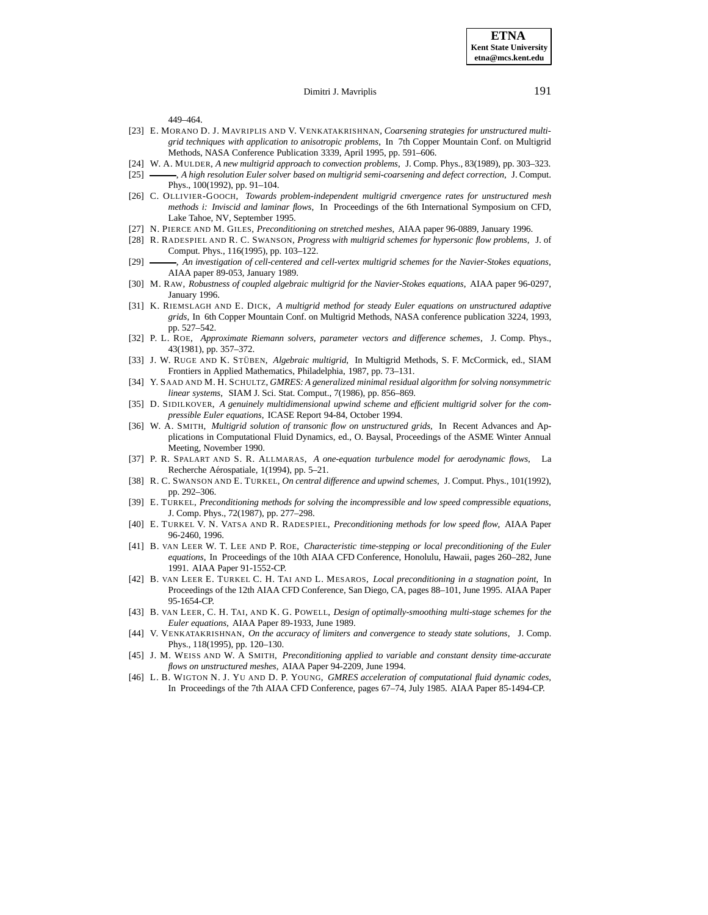449–464.

- [23] E. MORANO D. J. MAVRIPLIS AND V. VENKATAKRISHNAN, *Coarsening strategies for unstructured multigrid techniques with application to anisotropic problems*, In 7th Copper Mountain Conf. on Multigrid Methods, NASA Conference Publication 3339, April 1995, pp. 591–606.
- [24] W. A. MULDER, *A new multigrid approach to convection problems*, J. Comp. Phys., 83(1989), pp. 303–323.
- [25] , *A high resolution Euler solver based on multigrid semi-coarsening and defect correction*, J. Comput. Phys., 100(1992), pp. 91–104.
- [26] C. OLLIVIER-GOOCH, *Towards problem-independent multigrid cnvergence rates for unstructured mesh methods i: Inviscid and laminar flows*, In Proceedings of the 6th International Symposium on CFD, Lake Tahoe, NV, September 1995.
- [27] N. PIERCE AND M. GILES, *Preconditioning on stretched meshes*, AIAA paper 96-0889, January 1996.
- [28] R. RADESPIEL AND R. C. SWANSON, *Progress with multigrid schemes for hypersonic flow problems*, J. of Comput. Phys., 116(1995), pp. 103–122.
- [29] , *An investigation of cell-centered and cell-vertex multigrid schemes for the Navier-Stokes equations*, AIAA paper 89-053, January 1989.
- [30] M. RAW, *Robustness of coupled algebraic multigrid for the Navier-Stokes equations*, AIAA paper 96-0297, January 1996.
- [31] K. RIEMSLAGH AND E. DICK, *A multigrid method for steady Euler equations on unstructured adaptive grids*, In 6th Copper Mountain Conf. on Multigrid Methods, NASA conference publication 3224, 1993, pp. 527–542.
- [32] P. L. ROE, *Approximate Riemann solvers, parameter vectors and difference schemes*, J. Comp. Phys., 43(1981), pp. 357–372.
- [33] J. W. RUGE AND K. STÜBEN, *Algebraic multigrid*, In Multigrid Methods, S. F. McCormick, ed., SIAM Frontiers in Applied Mathematics, Philadelphia, 1987, pp. 73–131.
- [34] Y. SAAD AND M. H. SCHULTZ, *GMRES: A generalized minimal residual algorithm for solving nonsymmetric linear systems*, SIAM J. Sci. Stat. Comput., 7(1986), pp. 856–869.
- [35] D. SIDILKOVER, *A genuinely multidimensional upwind scheme and efficient multigrid solver for the compressible Euler equations*, ICASE Report 94-84, October 1994.
- [36] W. A. SMITH, *Multigrid solution of transonic flow on unstructured grids*, In Recent Advances and Applications in Computational Fluid Dynamics, ed., O. Baysal, Proceedings of the ASME Winter Annual Meeting, November 1990.
- [37] P. R. SPALART AND S. R. ALLMARAS, *A one-equation turbulence model for aerodynamic flows*, La Recherche Aérospatiale, 1(1994), pp. 5–21.
- [38] R. C. SWANSON AND E. TURKEL, *On central difference and upwind schemes*, J. Comput. Phys., 101(1992), pp. 292–306.
- [39] E. TURKEL, *Preconditioning methods for solving the incompressible and low speed compressible equations*, J. Comp. Phys., 72(1987), pp. 277–298.
- [40] E. TURKEL V. N. VATSA AND R. RADESPIEL, *Preconditioning methods for low speed flow*, AIAA Paper 96-2460, 1996.
- [41] B. VAN LEER W. T. LEE AND P. ROE, *Characteristic time-stepping or local preconditioning of the Euler equations*, In Proceedings of the 10th AIAA CFD Conference, Honolulu, Hawaii, pages 260–282, June 1991. AIAA Paper 91-1552-CP.
- [42] B. VAN LEER E. TURKEL C. H. TAI AND L. MESAROS, *Local preconditioning in a stagnation point*, In Proceedings of the 12th AIAA CFD Conference, San Diego, CA, pages 88–101, June 1995. AIAA Paper 95-1654-CP.
- [43] B. VAN LEER, C. H. TAI, AND K. G. POWELL, *Design of optimally-smoothing multi-stage schemes for the Euler equations*, AIAA Paper 89-1933, June 1989.
- [44] V. VENKATAKRISHNAN, *On the accuracy of limiters and convergence to steady state solutions*, J. Comp. Phys., 118(1995), pp. 120–130.
- [45] J. M. WEISS AND W. A SMITH, *Preconditioning applied to variable and constant density time-accurate flows on unstructured meshes*, AIAA Paper 94-2209, June 1994.
- [46] L. B. WIGTON N. J. YU AND D. P. YOUNG, *GMRES acceleration of computational fluid dynamic codes*, In Proceedings of the 7th AIAA CFD Conference, pages 67–74, July 1985. AIAA Paper 85-1494-CP.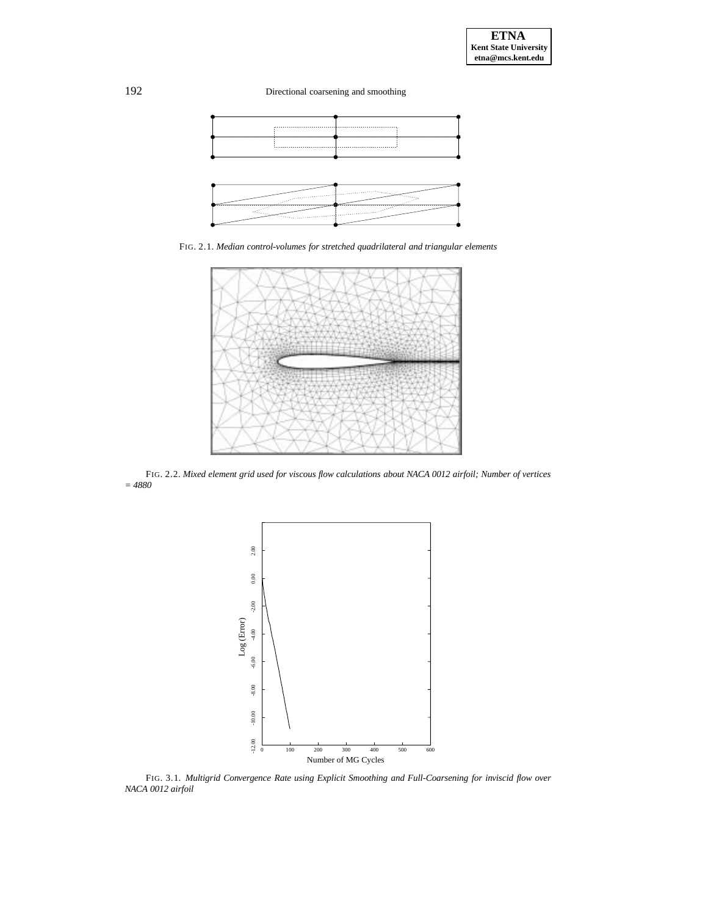

FIG. 2.1. *Median control-volumes for stretched quadrilateral and triangular elements*



FIG. 2.2. *Mixed element grid used for viscous flow calculations about NACA 0012 airfoil; Number of vertices = 4880*



FIG. 3.1. *Multigrid Convergence Rate using Explicit Smoothing and Full-Coarsening for inviscid flow over NACA 0012 airfoil*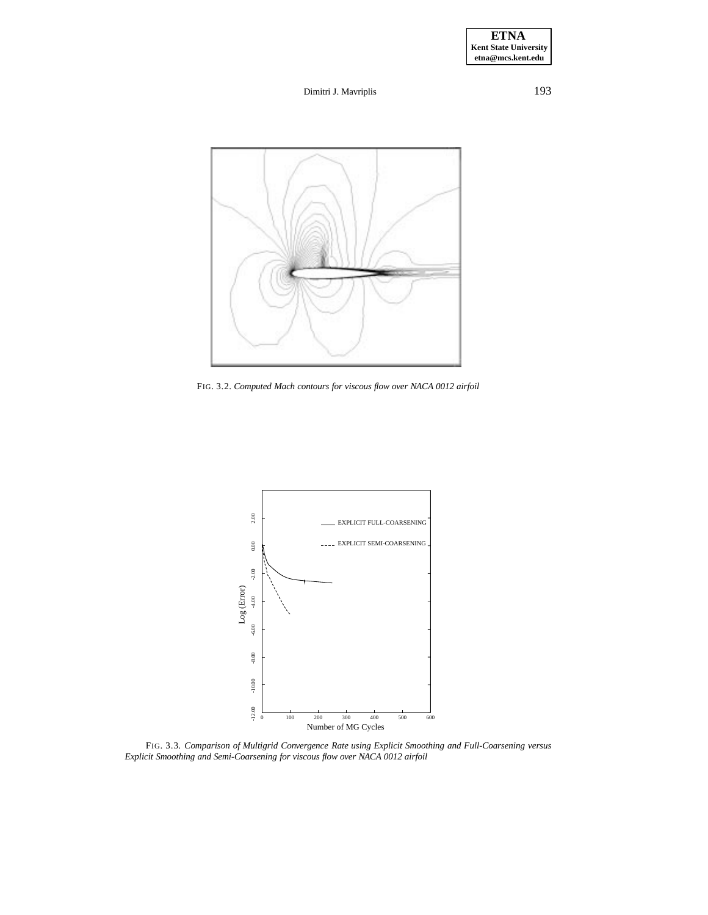**ETNA Kent State University etna@mcs.kent.edu**

Dimitri J. Mavriplis 193



FIG. 3.2. *Computed Mach contours for viscous flow over NACA 0012 airfoil*



FIG. 3.3. *Comparison of Multigrid Convergence Rate using Explicit Smoothing and Full-Coarsening versus Explicit Smoothing and Semi-Coarsening for viscous flow over NACA 0012 airfoil*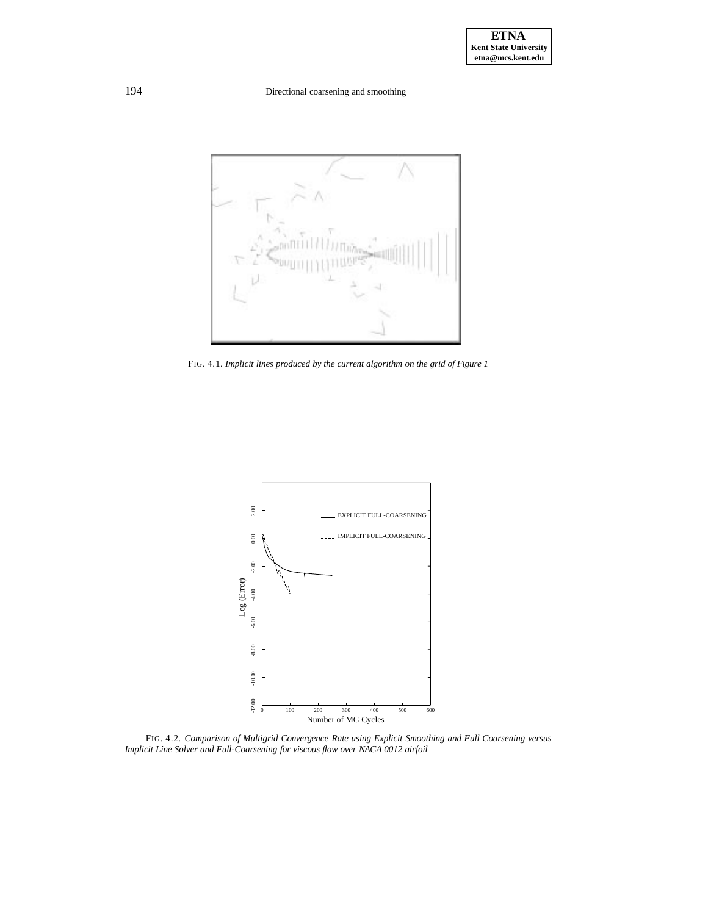

FIG. 4.1. *Implicit lines produced by the current algorithm on the grid of Figure 1*



FIG. 4.2. *Comparison of Multigrid Convergence Rate using Explicit Smoothing and Full Coarsening versus Implicit Line Solver and Full-Coarsening for viscous flow over NACA 0012 airfoil*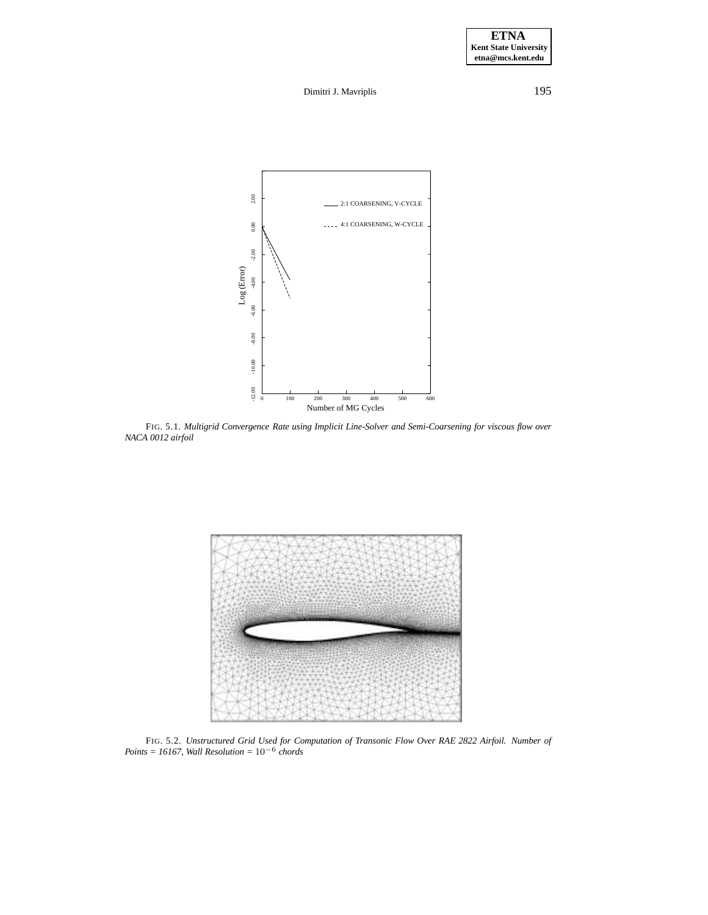

FIG. 5.1. *Multigrid Convergence Rate using Implicit Line-Solver and Semi-Coarsening for viscous flow over NACA 0012 airfoil*



FIG. 5.2. *Unstructured Grid Used for Computation of Transonic Flow Over RAE 2822 Airfoil. Number of Points = 16167, Wall Resolution =* 10−<sup>6</sup> *chords*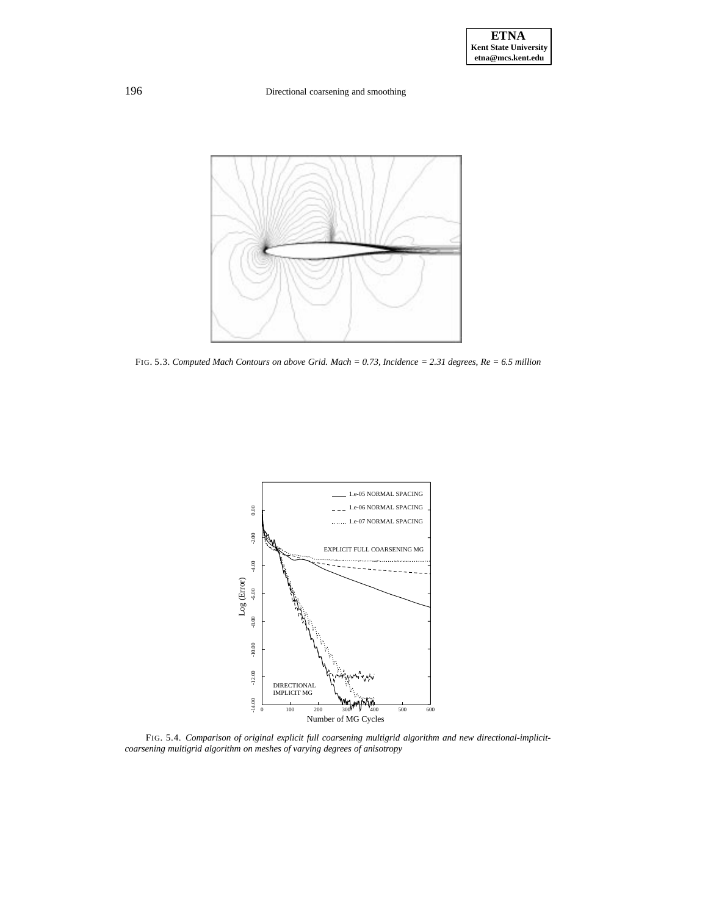

FIG. 5.3. *Computed Mach Contours on above Grid. Mach = 0.73, Incidence = 2.31 degrees, Re = 6.5 million*



FIG. 5.4. *Comparison of original explicit full coarsening multigrid algorithm and new directional-implicitcoarsening multigrid algorithm on meshes of varying degrees of anisotropy*